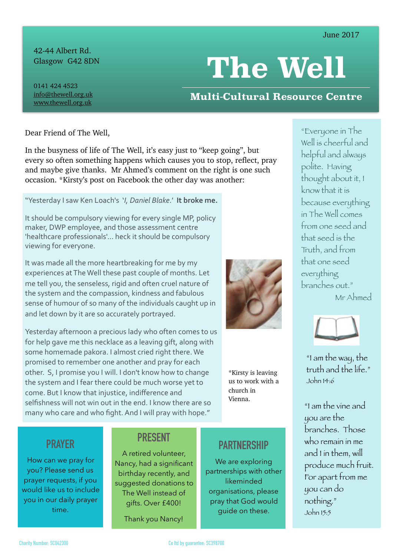42-44 Albert Rd. Glasgow G42 8DN

# **The Well**

0141 424 4523 [info@thewell.org.uk](mailto:info@thewell.org.uk) [www.thewell.org.uk](http://www.thewell.org.uk)

## **Multi-Cultural Resource Centre**

Dear Friend of The Well,

In the busyness of life of The Well, it's easy just to "keep going", but every so often something happens which causes you to stop, reflect, pray and maybe give thanks. Mr Ahmed's comment on the right is one such occasion. \*Kirsty's post on Facebook the other day was another:

"Yesterday I saw Ken Loach's *'I, Daniel Blake*.' It broke me.

It should be compulsory viewing for every single MP, policy maker, DWP employee, and those assessment centre 'healthcare professionals'... heck it should be compulsory viewing for everyone.

It was made all the more heartbreaking for me by my experiences at The Well these past couple of months. Let me tell you, the senseless, rigid and often cruel nature of the system and the compassion, kindness and fabulous sense of humour of so many of the individuals caught up in and let down by it are so accurately portrayed.

Yesterday afternoon a precious lady who often comes to us for help gave me this necklace as a leaving gift, along with some homemade pakora. I almost cried right there. We promised to remember one another and pray for each other. S, I promise you I will. I don't know how to change the system and I fear there could be much worse yet to come. But I know that injustice, indifference and selfishness will not win out in the end. I know there are so many who care and who fight. And I will pray with hope."

\*Kirsty is leaving us to work with a church in Vienna.

"Everyone in The Well is cheerful and helpful and always polite. Having thought about it, I know that it is because everything in The Well comes from one seed and that seed is the Truth, and from that one seed everything branches out." Mr Ahmed



"I am the way, the truth and the life." John 14:6

"I am the vine and you are the branches. Those who remain in me and I in them, will produce much fruit. For apart from me you can do nothing." John 15:5

## **PRAYER**

How can we pray for you? Please send us prayer requests, if you would like us to include you in our daily prayer time.

### **PRESENT**

A retired volunteer, Nancy, had a significant birthday recently, and suggested donations to The Well instead of gifts. Over £400!

Thank you Nancy!

## **PARTNERSHIP**

We are exploring partnerships with other likeminded organisations, please pray that God would guide on these.